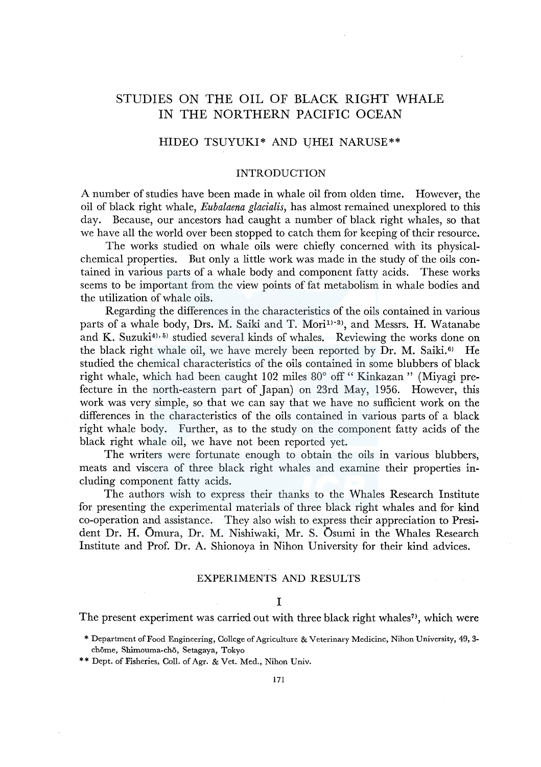# STUDIES ON THE OIL OF BLACK RIGHT WHALE IN THE NORTHERN PACIFIC OCEAN

# HIDEO TSUYUKI\* AND UHEI NARUSE\*\*

#### INTRODUCTION

A number of studies have been made in whale oil from olden time. However, the oil of black right whale, *Eubalaena glacialis,* has almost remained unexplored to this day. Because, our ancestors had caught a number of black right whales, so that we have all the world over been stopped to catch them for keeping of their resource.

The works studied on whale oils were chiefly concerned with its physicalchemical properties. But only a little work was made in the study of the oils contained in various parts of a whale body and component fatty acids. These works seems to be important from the view points of fat metabolism in whale bodies and the utilization of whale oils.

Regarding the differences in the characteristics of the oils contained in various parts of a whale body, Drs. M. Saiki and T. Mori<sup>1)-3)</sup>, and Messrs. H. Watanabe and K. Suzuki<sup>4), 5)</sup> studied several kinds of whales. Reviewing the works done on the black right whale oil, we have merely been reported by  $\overline{D}$ r. M. Saiki.<sup>6)</sup> He studied the chemical characteristics of the oils contained in some blubbers of black right whale, which had been caught 102 miles 80° off " Kinkazan " (Miyagi prefecture in the north-eastern part of Japan) on 23rd May, 1956. However, this work was very simple, so that we can say that we have no sufficient work on the differences in the characteristics of the oils contained in various parts of a black right whale body. Further, as to the study on the component fatty acids of the black right whale oil, we have not been reported yet.

The writers were fortunate enough to obtain the oils in various blubbers, meats and viscera of three black right whales and examine their properties including component fatty acids.

The authors wish to express their thanks to the Whales Research Institute for presenting the experimental materials of three black right whales and for kind co-operation and assistance. They also wish to express their appreciation to President Dr. H. Omura, Dr. M. Nishiwaki, Mr. S. Osumi in the Whales Research Institute and Prof. Dr. A. Shionoya in Nihon University for their kind advices.

# EXPERIMENTS AND RESULTS

## I

The present experiment was carried out with three black right whales<sup>7</sup>, which were

- \* Department of Food Engineering, College of Agriculture & Veterinary Medicine, Nihon University, 49, 3 chome, Shimouma-cho, Setagaya, Tokyo
- \*\*Dept. of Fisheries, Coll. of Agr. & Vet. Med., Nihon Univ.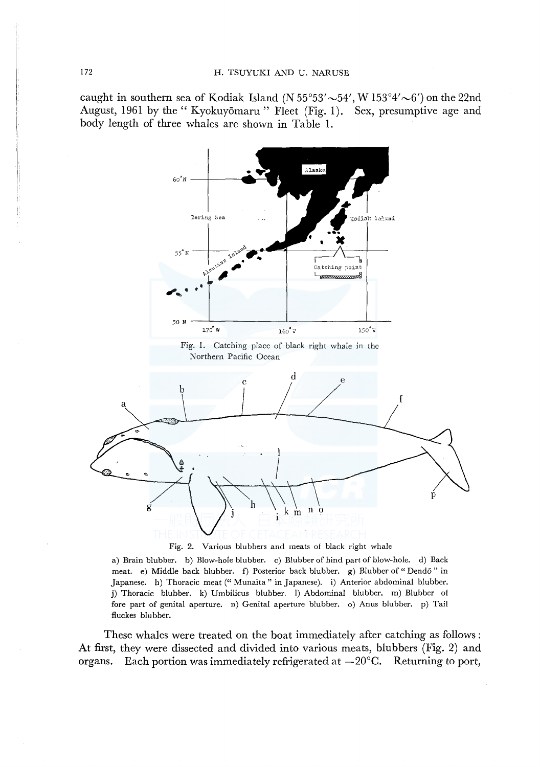caught in southern sea of Kodiak Island (N  $55^{\circ}53' \sim 54'$ , W  $153^{\circ}4' \sim 6'$ ) on the 22nd August, 1961 by the "Kyokuyōmaru" Fleet (Fig. 1). Sex, presumptive age and body length of three whales are shown in Table 1.



Fig. 2. Various blubbers and meats of black right whale

a) Brain blubber. b) Blow-hole blubber. c) Blubber of hind part of blow-hole. d) Back meat. e) Middle back blubber. f) Posterior back blubber. g) Blubber of "Dendo" in Japanese. h) Thoracic meat (" Munaita" in Japanese). i) Anterior abdominal blubber. j) Thoracic blubber. k) Umbilicus blubber. 1) Abdominal blubber. m) Blubber of fore part of genital aperture. n) Genital aperture blubber. o) Anus blubber. p) Tail fluckes blubber.

These whales were treated on the boat immediately after catching as follows: At first, they were dissected and divided into various meats, blubbers (Fig. 2) and organs. Each portion was immediately refrigerated at  $-20^{\circ}$ C. Returning to port,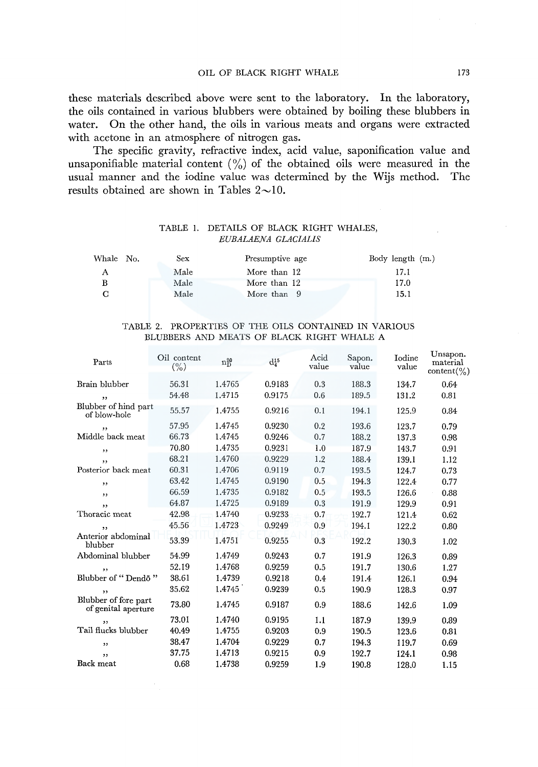these materials described above were sent to the laboratory. In the laboratory, the oils contained in various blubbers were obtained by boiling these blubbers in water. On the other hand, the oils in various meats and organs were extracted with acetone in an atmosphere of nitrogen gas.

The specific gravity, refractive index, acid value, saponification value and unsaponifiable material content  $\binom{0}{0}$  of the obtained oils were measured in the usual manner and the iodine value was determined by the Wijs method. The results obtained are shown in Tables  $2 \sim 10$ .

## TABLE I. DETAILS OF BLACK RIGHT WHALES, *EUBALAENA GLACIALIS*

| Whale No.<br>Sex | Presumptive age | Body length (m.) |
|------------------|-----------------|------------------|
| Male<br>А        | More than 12    | 17.1             |
| Male<br>в        | More than 12    | 17.0             |
| Male<br>С        | More than 9     | 15.1             |

## TABLE 2. PROPERTIES OF THE OILS CONTAINED IN VARIOUS BLUBBERS AND MEATS OF BLACK RIGHT WHALE A

| Parts                                       | Oil content<br>$(\% )$ | $n_D^{20}$ | $d_4^{15}$ | Acid<br>value | Sapon.<br>value | Iodine<br>value | Unsapon.<br>material<br>$content(\% )$ |
|---------------------------------------------|------------------------|------------|------------|---------------|-----------------|-----------------|----------------------------------------|
| Brain blubber                               | 56.31                  | 1.4765     | 0.9183     | 0.3           | 188.3           | 134.7           | 0.64                                   |
| ,,                                          | 54.48                  | 1.4715     | 0.9175     | 0.6           | 189.5           | 131.2           | 0.81                                   |
| Blubber of hind part<br>of blow-hole        | 55.57                  | 1.4755     | 0.9216     | 0.1           | 194.1           | 125.9           | 0.84                                   |
| ,,                                          | 57.95                  | 1.4745     | 0.9230     | 0.2           | 193.6           | 123.7           | 0.79                                   |
| Middle back meat                            | 66.73                  | 1.4745     | 0.9246     | 0.7           | 188.2           | 137.3           | 0.98                                   |
| ,,                                          | 70.80                  | 1.4735     | 0.9231     | 1.0           | 187.9           | 143.7           | 0.91                                   |
| ,                                           | 68.21                  | 1.4760     | 0.9229     | 1.2           | 188.4           | 139.1           | 1.12                                   |
| Posterior back meat                         | 60.31                  | 1.4706     | 0.9119     | 0.7           | 193.5           | 124.7           | 0.73                                   |
| ,,                                          | 63.42                  | 1.4745     | 0.9190     | 0.5           | 194.3           | 122.4           | 0.77                                   |
| ,,                                          | 66.59                  | 1.4735     | 0.9182     | 0.5           | 193.5           | 126.6           | 0.88                                   |
| ,,                                          | 64.87                  | 1.4725     | 0.9189     | 0.3           | 191.9           | 129.9           | 0.91                                   |
| Thoracic meat                               | 42.98                  | 1.4740     | 0.9233     | 0.7           | 192.7           | 121.4           | 0.62                                   |
| ,,                                          | 45.56                  | 1.4723     | 0.9249     | 0.9           | 194.1           | 122.2           | 0.80                                   |
| Anterior abdominal<br>blubber               | 53.39                  | 1.4751     | 0.9255     | 0.3           | 192.2           | 130.3           | 1.02                                   |
| Abdominal blubber                           | 54.99                  | 1.4749     | 0.9243     | 0.7           | 191.9           | 126.3           | 0.89                                   |
| ,,                                          | 52.19                  | 1.4768     | 0.9259     | 0.5           | 191.7           | 130.6           | 1.27                                   |
| Blubber of "Dendö"                          | 38.61                  | 1.4739     | 0.9218     | 0.4           | 191.4           | 126.1           | 0.94                                   |
| ,                                           | 35.62                  | 1,4745     | 0.9239     | 0.5           | 190.9           | 128.3           | 0.97                                   |
| Blubber of fore part<br>of genital aperture | 73.80                  | 1.4745     | 0.9187     | 0.9           | 188.6           | 142.6           | 1.09                                   |
| ,                                           | 73.01                  | 1.4740     | 0.9195     | 1.1           | 187.9           | 139.9           | 0.89                                   |
| Tail flucks blubber                         | 40.49                  | 1.4755     | 0.9203     | 0.9           | 190.5           | 123.6           | 0.81                                   |
| ,                                           | 38.47                  | 1.4704     | 0.9229     | 0.7           | 194.3           | 119.7           | 0.69                                   |
| ,,                                          | 37.75                  | 1.4713     | 0.9215     | 0.9           | 192.7           | 124.1           | 0.98                                   |
| Back meat                                   | 0.68                   | 1.4738     | 0.9259     | 1.9           | 190.8           | 128.0           | 1.15                                   |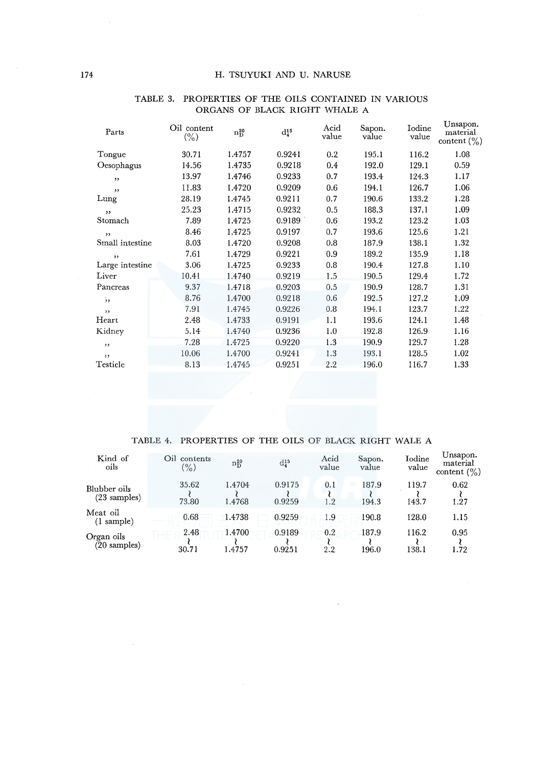| Parts           | Oil content<br>$(\% )$ | $n_D^{20}$ | $d_4^{15}$ | Acid<br>value | Sapon.<br>value | Iodine<br>value | Unsapon.<br>material<br>content $\binom{0}{0}$ |
|-----------------|------------------------|------------|------------|---------------|-----------------|-----------------|------------------------------------------------|
| Tongue          | 30.71                  | 1.4757     | 0.9241     | 0.2           | 195.1           | 116.2           | 1.08                                           |
| Oesophagus      | 14.56                  | 1.4735     | 0.9218     | 0.4           | 192.0           | 129.1           | 0.59                                           |
| ,               | 13.97                  | 1.4746     | 0.9233     | 0.7           | 193.4           | 124.3           | 1.17                                           |
| ,               | 11.83                  | 1.4720     | 0.9209     | 0.6           | 194.1           | 126.7           | 1.06                                           |
| Lung            | 28.19                  | 1.4745     | 0.9211     | 0.7           | 190.6           | 133.2           | 1.28                                           |
| , ,             | 25.23                  | 1.4715     | 0.9232     | 0.5           | 188.3           | 137.1           | 1.09                                           |
| Stomach         | 7.89                   | 1.4725     | 0.9189     | 0.6           | 193.2           | 123.2           | 1.03                                           |
| , ,             | 8.46                   | 1.4725     | 0.9197     | 0.7           | 193.6           | 125.6           | 1.21                                           |
| Small intestine | 8.03                   | 1.4720     | 0.9208     | 0.8           | 187.9           | 138.1           | 1.32                                           |
| ,               | 7.61                   | 1.4729     | 0.9221     | 0.9           | 189.2           | 135.9           | 1.18                                           |
| Large intestine | 3.06                   | 1.4725     | 0.9233     | 0.8           | 190.4           | 127.8           | 1.10                                           |
| Liver           | 10.41                  | 1.4740     | 0.9219     | 1.5           | 190.5           | 129.4           | 1.72                                           |
| Pancreas        | 9.37                   | 1.4718     | 0.9203     | 0.5           | 190.9           | 128.7           | 1.31                                           |
| $\frac{1}{2}$   | 8.76                   | 1.4700     | 0.9218     | 0.6           | 192.5           | 127.2           | 1.09                                           |
| $^{\circ}$      | 7.91                   | 1.4745     | 0.9226     | 0.8           | 194.1           | 123.7           | 1.22                                           |
| Heart           | 2.48                   | 1.4733     | 0.9191     | 1.1           | 193.6           | 124.1           | 1.48                                           |
| Kidney          | 5.14                   | 1.4740     | 0.9236     | 1.0           | 192.8           | 126.9           | 1.16                                           |
| , ,             | 7.28                   | 1.4725     | 0.9220     | 1.3           | 190.9           | 129.7           | 1.28                                           |
| ,,              | 10.06                  | 1.4700     | 0.9241     | 1.3           | 193.1           | 128.5           | 1.02                                           |
| Testicle        | 8.13                   | 1.4745     | 0.9251     | 2.2           | 196.0           | 116.7           | 1.33                                           |

#### TABLE 3. PROPERTIES OF THE OILS CONTAINED IN VARIOUS ORGANS OF BLACK RIGHT WHALE A

### TABLE 4. PROPERTIES OF THE OILS OF BLACK RIGHT WALE A

| Kind of<br>oils                  | Oil contents<br>$\frac{1}{2}$ | $n_D^{20}$ | $\mathrm{d_4^{15}}$ | Acid<br>value | Sapon.<br>value | Iodine<br>value | Unsapon.<br>material<br>content $(\% )$ |
|----------------------------------|-------------------------------|------------|---------------------|---------------|-----------------|-----------------|-----------------------------------------|
| Blubber oils                     | 35.62                         | 1.4704     | 0.9175              | 0.1           | 187.9           | 119.7           | 0.62                                    |
| $(23$ samples)                   | 73.80                         | 1.4768     | 0.9259              | 1.2           | 194.3           | 143.7           | 1.27                                    |
| Meat oil<br>$(1 \text{ sample})$ | 0.68                          | 1.4738     | 0.9259              | 1.9           | 190.8           | 128.0           | 1.15                                    |
| Organ oils                       | 2.48                          | 1.4700     | 0.9189              | 0.2           | 187.9           | 116.2           | 0.95                                    |
| $(20 \text{ samples})$           | 30.71                         | 4757. ا    | 0.9251              | 2.2           | 196.0           | 138.1           | 1.72                                    |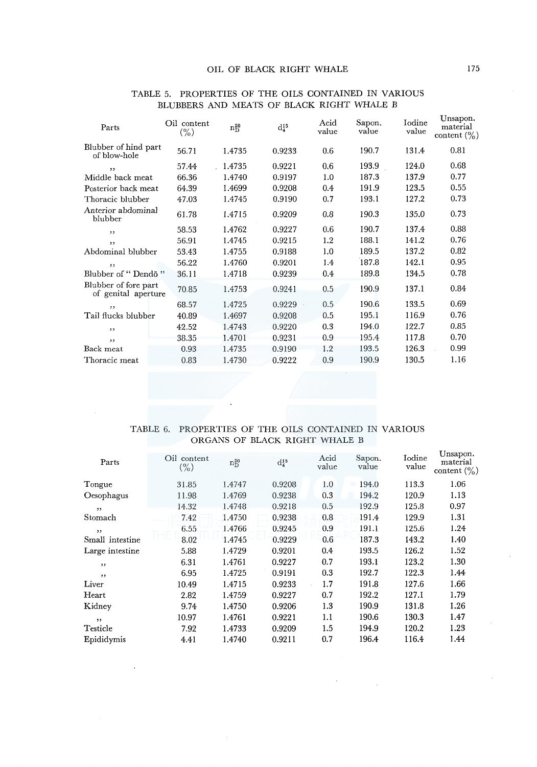| Parts                                       | Oil content<br>$(\% )$ | $n_D^{20}$ | $d_4^{15}$ | Acid<br>value | Sapon.<br>value | Iodine<br>value | Unsapon.<br>material<br>content $(\% )$ |
|---------------------------------------------|------------------------|------------|------------|---------------|-----------------|-----------------|-----------------------------------------|
| Blubber of hind part<br>of blow-hole        | 56.71                  | 1.4735     | 0.9233     | 0.6           | 190.7           | 131.4           | 0.81                                    |
| ,                                           | 57.44                  | 1.4735     | 0.9221     | 0.6           | 193.9           | 124.0           | 0.68                                    |
| Middle back meat                            | 66.36                  | 1.4740     | 0.9197     | 1.0           | 187.3           | 137.9           | 0.77                                    |
| Posterior back meat                         | 64.39                  | 1.4699     | 0.9208     | 0.4           | 191.9           | 123.5           | 0.55                                    |
| Thoracic blubber                            | 47.03                  | 1.4745     | 0.9190     | 0.7           | 193.1           | 127.2           | 0.73                                    |
| Anterior abdominal<br>blubber               | 61.78                  | 1.4715     | 0.9209     | 0.8           | 190.3           | 135.0           | 0.73                                    |
| ,,                                          | 58.53                  | 1.4762     | 0.9227     | 0.6           | 190.7           | 137.4           | 0.88                                    |
| , ,                                         | 56.91                  | 1.4745     | 0.9215     | 1.2           | 188.1           | 141.2           | 0.76                                    |
| Abdominal blubber                           | 53.43                  | 1.4755     | 0.9188     | 1.0           | 189.5           | 137.2           | 0.82                                    |
| ,,                                          | 56.22                  | 1.4760     | 0.9201     | 1.4           | 187.8           | 142.1           | 0.95                                    |
| Blubber of "Dendo"                          | 36.11                  | 1.4718     | 0.9239     | 0.4           | 189.8           | 134.5           | 0.78                                    |
| Blubber of fore part<br>of genital aperture | 70.85                  | 1.4753     | 0.9241     | 0.5           | 190.9           | 137.1           | 0.84                                    |
| , ,                                         | 68.57                  | 1.4725     | 0.9229     | 0.5           | 190.6           | 133.5           | 0.69                                    |
| Tail flucks blubber                         | 40.89                  | 1.4697     | 0.9208     | 0.5           | 195.1           | 116.9           | 0.76                                    |
| , ,                                         | 42.52                  | 1.4743     | 0.9220     | 0.3           | 194.0           | 122.7           | 0.85                                    |
| ,                                           | 38.35                  | 1.4701     | 0.9231     | 0.9           | 195.4           | 117.8           | 0.70                                    |
| Back meat                                   | 0.93                   | 1.4735     | 0.9190     | 1.2           | 193.5           | 126.3           | 0.99                                    |
| Thoracic meat                               | 0.83                   | 1.4730     | 0.9222     | 0.9           | 190.9           | 130.5           | 1.16                                    |

### TABLE 5. PROPERTIES OF THE OILS CONTAINED IN VARIOUS BLUBBERS AND MEATS OF BLACK RIGHT WHALE B

## TABLE 6. PROPERTIES OF THE OILS CONTAINED IN VARIOUS ORGANS OF BLACK RIGHT WHALE B

| Parts           | Oil content<br>$(\% )$ | $n_D^{20}$ | $d_4^{15}$ | Acid<br>value | Sapon.<br>value | <b>Iodine</b><br>value | Unsapon.<br>material<br>content $(\% )$ |
|-----------------|------------------------|------------|------------|---------------|-----------------|------------------------|-----------------------------------------|
| Tongue          | 31.85                  | 1.4747     | 0.9208     | 1.0           | 194.0           | 113.3                  | 1.06                                    |
| Oesophagus      | 11.98                  | 1.4769     | 0.9238     | 0.3           | 194.2           | 120.9                  | 1.13                                    |
| , ,             | 14.32                  | 1.4748     | 0.9218     | 0.5           | 192.9           | 125.8                  | 0.97                                    |
| Stomach         | 7.42                   | 1.4750     | 0.9238     | 0.8           | 191.4           | 129.9                  | 1.31                                    |
| , ,             | 6.55                   | 1.4766     | 0.9245     | 0.9           | 191.1           | 125.6                  | 1.24                                    |
| Small intestine | 8.02                   | 1.4745     | 0.9229     | 0.6           | 187.3           | 143.2                  | 1.40                                    |
| Large intestine | 5.88                   | 1.4729     | 0.9201     | 0.4           | 193.5           | 126.2                  | 1.52                                    |
| ,               | 6.31                   | 1.4761     | 0.9227     | 0.7           | 193.1           | 123.2                  | 1.30                                    |
| , ,             | 6.95                   | 1.4725     | 0.9191     | 0.3           | 192.7           | 122.3                  | 1.44                                    |
| Liver           | 10.49                  | 1.4715     | 0.9233     | 1.7           | 191.8           | 127.6                  | 1.66                                    |
| Heart           | 2.82                   | 1.4759     | 0.9227     | 0.7           | 192.2           | 127.1                  | 1.79                                    |
| Kidney          | 9.74                   | 1.4750     | 0.9206     | 1.3           | 190.9           | 131.8                  | 1.26                                    |
| , ,             | 10.97                  | 1.4761     | 0.9221     | 1.1           | 190.6           | 130.3                  | 1.47                                    |
| Testicle        | 7.92                   | 1.4733     | 0.9209     | 1.5           | 194.9           | 120.2                  | 1.23                                    |
| Epididymis      | 4.41                   | 1.4740     | 0.9211     | 0.7           | 196.4           | 116.4                  | 1.44                                    |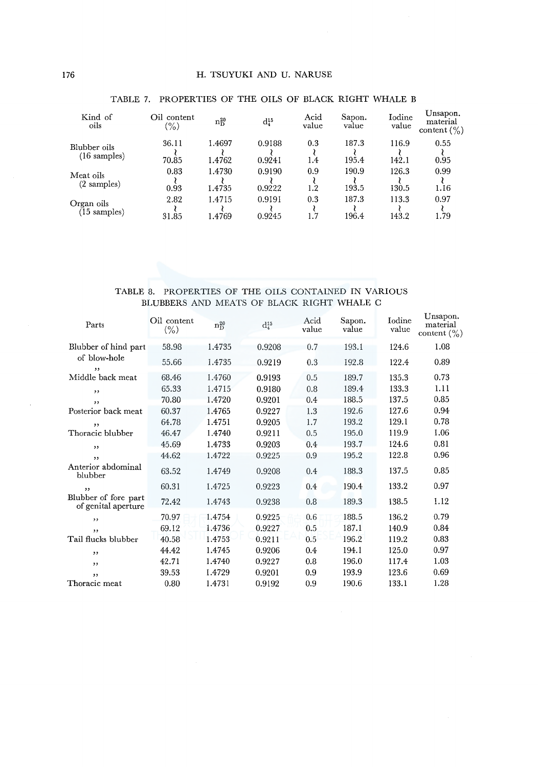| Kind of<br>oils        | Oil content<br>$\%$ | $n_D^{20}$ | $d_4^{15}$ | Acid<br>value | Sapon.<br>value | Iodine<br>value | Unsapon.<br>material<br>content $(\% )$ |
|------------------------|---------------------|------------|------------|---------------|-----------------|-----------------|-----------------------------------------|
| Blubber oils           | 36.11               | 1.4697     | 0.9188     | 0.3           | 187.3           | 116.9           | 0.55                                    |
| $(16 \text{ samples})$ | 70.85               | 1.4762     | 0.9241     | 1.4           | 195.4           | 142.1           | 0.95                                    |
| Meat oils              | 0.83                | 1.4730     | 0.9190     | 0.9           | 190.9           | 126.3           | 0.99                                    |
| $(2 \text{ samples})$  | 0.93                | 1.4735     | 0.9222     | 1.2           | 193.5           | 130.5           | 1.16                                    |
| Organ oils             | 2.82                | 1.4715     | 0.9191     | 0.3           | 187.3           | 113.3           | 0.97                                    |
| $(15 \text{ samples})$ | 31.85               | .4769      | 0.9245     |               | 196.4           | 143.2           | 1.79                                    |

# TABLE 7. PROPERTIES OF THE OILS OF BLACK RIGHT WHALE B

### TABLE 8. PROPERTIES OF THE OILS CONTAINED IN VARIOUS BLUBBERS AND MEATS OF BLACK RIGHT WHALE C

| Parts                                       | Oil content<br>$(\% )$ | $n_D^{20}$ | $d_4^{15}$ | Acid<br>value | Sapon.<br>value | Iodine<br>value | Unsapon.<br>material<br>content $(\% )$ |
|---------------------------------------------|------------------------|------------|------------|---------------|-----------------|-----------------|-----------------------------------------|
| Blubber of hind part                        | 58.98                  | 1.4735     | 0.9208     | 0.7           | 193.1           | 124.6           | 1.08                                    |
| of blow-hole<br>,,                          | 55.66                  | 1.4735     | 0.9219     | 0.3           | 192.8           | 122.4           | 0.89                                    |
| Middle back meat                            | 68.46                  | 1.4760     | 0.9193     | 0.5           | 189.7           | 135.3           | 0.73                                    |
| , 1                                         | 65.33                  | 1.4715     | 0.9180     | 0.8           | 189.4           | 133.3           | 1.11                                    |
| ,,                                          | 70.80                  | 1.4720     | 0.9201     | 0.4           | 188.5           | 137.5           | 0.85                                    |
| Posterior back meat                         | 60.37                  | 1.4765     | 0.9227     | 1.3           | 192.6           | 127.6           | 0.94                                    |
| ,,                                          | 64.78                  | 1.4751     | 0.9205     | 1.7           | 193.2           | 129.1           | 0.78                                    |
| Thoracic blubber                            | 46.47                  | 1.4740     | 0.9211     | 0.5           | 195.0           | 119.9           | 1.06                                    |
| , ,                                         | 45.69                  | 1.4733     | 0.9203     | 0.4           | 193.7           | 124.6           | 0.81                                    |
| , ,                                         | 44.62                  | 1.4722     | 0.9225     | 0.9           | 195.2           | 122.8           | 0.96                                    |
| Anterior abdominal<br>blubber               | 63.52                  | 1.4749     | 0.9208     | 0.4           | 188.3           | 137.5           | 0.85                                    |
| ,,                                          | 60.31                  | 1.4725     | 0.9223     | 0.4           | 190.4           | 133.2           | 0.97                                    |
| Blubber of fore part<br>of genital aperture | 72.42                  | 1.4743     | 0.9238     | 0.8           | 189.3           | 138.5           | 1.12                                    |
| , ,                                         | 70.97                  | 1.4754     | 0.9225     | 0.6           | 188.5           | 136.2           | 0.79                                    |
| , ,                                         | 69.12                  | 1.4736     | 0.9227     | 0.5           | 187.1           | 140.9           | 0.84                                    |
| Tail flucks blubber                         | 40.58                  | 1.4753     | 0.9211     | 0.5           | 196.2           | 119.2           | 0.83                                    |
| , ,                                         | 44.42                  | 1.4745     | 0.9206     | 0.4           | 194.1           | 125.0           | 0.97                                    |
| , ,                                         | 42.71                  | 1.4740     | 0.9227     | 0.8           | 196.0           | 117.4           | 1.03                                    |
| $, \,$                                      | 39.53                  | 1.4729     | 0.9201     | 0.9           | 193.9           | 123.6           | 0.69                                    |
| Thoracic meat                               | 0.80                   | 1.4731     | 0.9192     | 0.9           | 190.6           | 133.1           | 1.28                                    |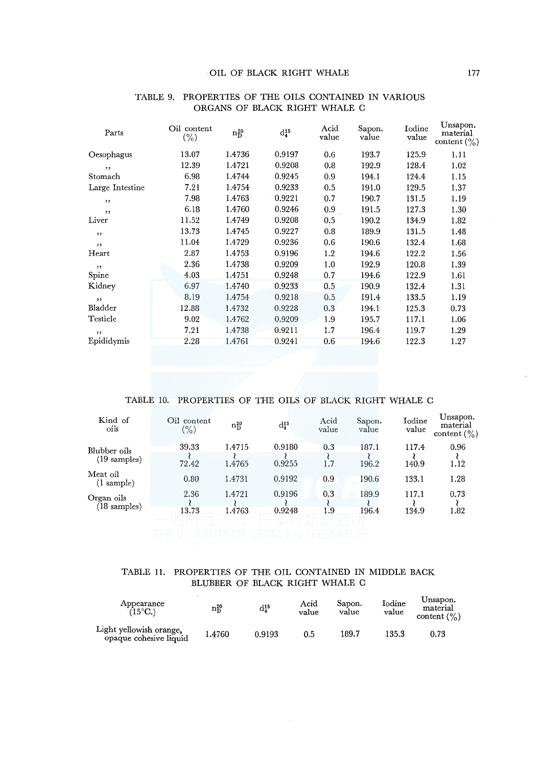| Parts           | Oil content<br>$(\% )$ | $n_D^{20}$ | $d_4^{15}$ | Acid<br>value | Sapon.<br>value | Iodine<br>value | Unsapon.<br>material<br>content $\binom{0}{0}$ |
|-----------------|------------------------|------------|------------|---------------|-----------------|-----------------|------------------------------------------------|
| Oesophagus      | 13.07                  | 1.4736     | 0.9197     | 0.6           | 193.7           | 125.9           | 1.11                                           |
| , ,             | 12.39                  | 1.4721     | 0.9208     | 0.8           | 192.9           | 128.4           | 1.02                                           |
| Stomach         | 6.98                   | 1.4744     | 0.9245     | 0.9           | 194.1           | 124.4           | 1.15                                           |
| Large Intestine | 7.21                   | 1.4754     | 0.9233     | 0.5           | 191.0           | 129.5           | 1.37                                           |
| ,,              | 7.98                   | 1.4763     | 0.9221     | 0.7           | 190.7           | 131.5           | 1.19                                           |
| ,,              | 6.18                   | 1.4760     | 0.9246     | 0.9           | 191.5           | 127.3           | 1.30                                           |
| Liver           | 11.52                  | 1.4749     | 0.9208     | 0.5           | 190.2           | 134.9           | 1.82                                           |
| ,,              | 13.73                  | 1.4745     | 0.9227     | 0.8           | 189.9           | 131.5           | 1.48                                           |
| , ,             | 11.04                  | 1.4729     | 0.9236     | 0.6           | 190.6           | 132.4           | 1.68                                           |
| Heart           | 2.87                   | 1.4753     | 0.9196     | 1.2           | 194.6           | 122.2           | 1.56                                           |
| $, \,$          | 2.36                   | 1.4738     | 0.9209     | 1.0           | 192.9           | 120.8           | 1.39                                           |
| Spine           | 4.03                   | 1.4751     | 0.9248     | 0.7           | 194.6           | 122.9           | 1.61                                           |
| Kidney          | 6.97                   | 1.4740     | 0.9233     | 0.5           | 190.9           | 132.4           | 1.31                                           |
| , ,             | 8.19                   | 1.4754     | 0.9218     | 0.5           | 191.4           | 133.5           | 1.19                                           |
| Bladder         | 12.88                  | 1.4732     | 0.9228     | 0.3           | 194.1           | 125.3           | 0.73                                           |
| Testicle        | 9.02                   | 1.4762     | 0.9209     | 1.9           | 195.7           | 117.1           | 1.06                                           |
| , ,             | 7.21                   | 1.4738     | 0.9211     | 1.7           | 196.4           | 119.7           | 1.29                                           |
| Epididymis      | 2.28                   | 1.4761     | 0.9241     | 0.6           | 194.6           | 122.3           | 1.27                                           |
|                 |                        |            |            |               |                 |                 |                                                |

#### TABLE 9. PROPERTIES OF THE OILS CONTAINED IN VARIOUS ORGANS OF BLACK RIGHT WHALE C

## TABLE 10. PROPERTIES OF THE OILS OF BLACK RIGHT WHALE C

| Kind of<br>oils                  | Oil content<br>$(\% )$ | $n_D^{20}$ | $d_4^{15}$ | Acid<br>value | Sapon.<br>value | Iodine<br>value | Unsapon.<br>material<br>content $(\% )$ |
|----------------------------------|------------------------|------------|------------|---------------|-----------------|-----------------|-----------------------------------------|
| Blubber oils                     | 39.33                  | 1.4715     | 0.9180     | 0.3           | 187.1           | 117.4           | 0.96                                    |
| $(19 \text{ samples})$           | 72.42                  | 1.4765     | 0.9255     | 1.7           | 196.2           | 140.9           | 1.12                                    |
| Meat oil<br>$(1 \text{ sample})$ | 0.80                   | 1.4731     | 0.9192     | 0.9           | 190.6           | 133.1           | 1.28                                    |
| Organ oils                       | 2.36                   | 1.4721     | 0.9196     | 0.3           | 189.9           | 117.1           | 0.73                                    |
| $(18 \text{ samples})$           | 13.73                  | 1.4763     | 0.9248     | 1.9           | 196.4           | 134.9           | 1.82                                    |
|                                  |                        |            |            |               |                 |                 |                                         |

## TABLE 11. PROPERTIES OF THE OIL CONTAINED IN MIDDLE BACK BLUBBER OF BLACK RIGHT WHALE C

| Appearance<br>(15°C.)                             | $\rm n_D^{20}$ | $\mathrm{d}_4^{15}$ | Acid<br>value | Sapon.<br>value | Iodine<br>value | Unsapon.<br>material<br>content $(\% )$ |
|---------------------------------------------------|----------------|---------------------|---------------|-----------------|-----------------|-----------------------------------------|
| Light yellowish orange.<br>opaque cohesive liquid | 1.4760         | 0.9193              | 0.5           | 189.7           | 135.3           | ${0.73}$                                |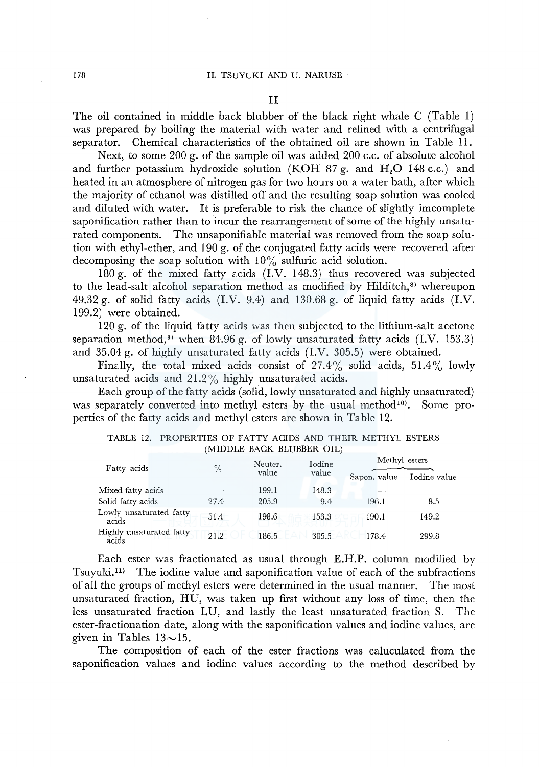The oil contained in middle back blubber of the black right whale C (Table 1) was prepared by boiling the material with water and refined with a centrifugal separator. Chemical characteristics of the obtained oil are shown in Table 11.

Next, to some 200 g. of the sample oil was added 200 c.c. of absolute alcohol and further potassium hydroxide solution (KOH 87 g. and  $H<sub>2</sub>O$  148 c.c.) and heated in an atmosphere of nitrogen gas for two hours on a water bath, after which the majority of ethanol was distilled off and the resulting soap solution was cooled and diluted with water. It is preferable to risk the chance of slightly imcomplete saponification rather than to incur the rearrangement of some of the highly unsaturated components. The unsaponifiable material was removed from the soap solution with ethyl-ether, and 190 g. of the conjugated fatty acids were recovered after decomposing the soap solution with  $10\%$  sulfuric acid solution.

180 g. of the mixed fatty acids (I.V. 148.3) thus recovered was subjected to the lead-salt alcohol separation method as modified by Hilditch,<sup>8</sup> whereupon 49.32 g. of solid fatty acids  $(I.V. 9.4)$  and 130.68 g. of liquid fatty acids  $(I.V. 9.4)$ 199.2) were obtained.

120 g. of the liquid fatty acids was then subjected to the lithium-salt acetone separation method,<sup> $9$ </sup> when 84.96 g. of lowly unsaturated fatty acids (I.V. 153.3) and 35.04 g. of highly unsaturated fatty acids (I.V. 305.5) were obtained.

Finally, the total mixed acids consist of  $27.4\%$  solid acids,  $51.4\%$  lowly unsaturated acids and 21.2% highly unsaturated acids.

Each group of the fatty acids (solid, lowly unsaturated and highly unsaturated) was separately converted into methyl esters by the usual method $10$ . Some properties of the fatty acids and methyl esters are shown in Table 12.

| PROPERTIES OF FATTY ACIDS AND THEIR METHYL ESTERS<br>TABLE 12.<br>(MIDDLE BACK BLUBBER OIL) |  |               |                  |                 |              |                               |  |  |  |  |
|---------------------------------------------------------------------------------------------|--|---------------|------------------|-----------------|--------------|-------------------------------|--|--|--|--|
|                                                                                             |  |               |                  |                 |              |                               |  |  |  |  |
| Fatty acids                                                                                 |  | $\frac{0}{0}$ | Neuter.<br>value | Iodine<br>value | Sapon. value | Methyl esters<br>Iodine value |  |  |  |  |
| Mixed fatty acids                                                                           |  |               | 199.1            | 148.3           |              |                               |  |  |  |  |
| Solid fatty acids                                                                           |  | 27.4          | 205.9            | 9.4             | 196.1        | 8.5                           |  |  |  |  |
| Lowly unsaturated fatty<br>acids                                                            |  | 51.4          | 198.6            | 153.3           | 190.1        | 149.2                         |  |  |  |  |
| Highly unsaturated fatty<br>acids                                                           |  | 21.2          | 186.5            | 305.5           | 178.4        | 299.8                         |  |  |  |  |

|                           | TABLE 12. PROPERTIES OF FATTY ACIDS AND THEIR METHYL ESTERS |  |  |  |  |  |  |
|---------------------------|-------------------------------------------------------------|--|--|--|--|--|--|
| (MIDDLE BACK BLUBBER OIL) |                                                             |  |  |  |  |  |  |

Each ester was fractionated as usual through E.H.P. column modified by Tsuyuki.<sup>11)</sup> The iodine value and saponification value of each of the subfractions of all the groups of methyl esters were determined in the usual manner. The most unsaturated fraction, HU, was taken up first without any loss of time, then the less unsaturated fraction LU, and lastly the least unsaturated fraction S. The ester-fractionation date, along with the saponification values and iodine values, are given in Tables  $13 \sim 15$ .

The composition of each of the ester fractions was caluculated from the saponification values and iodine values according to the method described by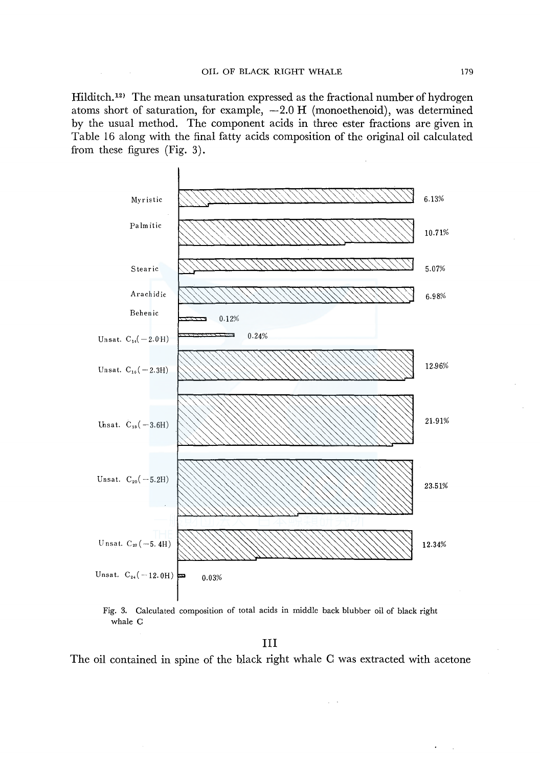Hilditch.<sup>12)</sup> The mean unsaturation expressed as the fractional number of hydrogen atoms short of saturation, for example,  $-2.0$  H (monoethenoid), was determined by the usual method. The component acids in three ester fractions are given in Table 16 along with the final fatty acids composition of the original oil calculated from these figures (Fig. 3).



Fig. 3. Calculated composition of total acids in middle back blubber oil of black right whale C

III

The oil contained in spine of the black right whale C was extracted with acetone

 $\zeta\to 0$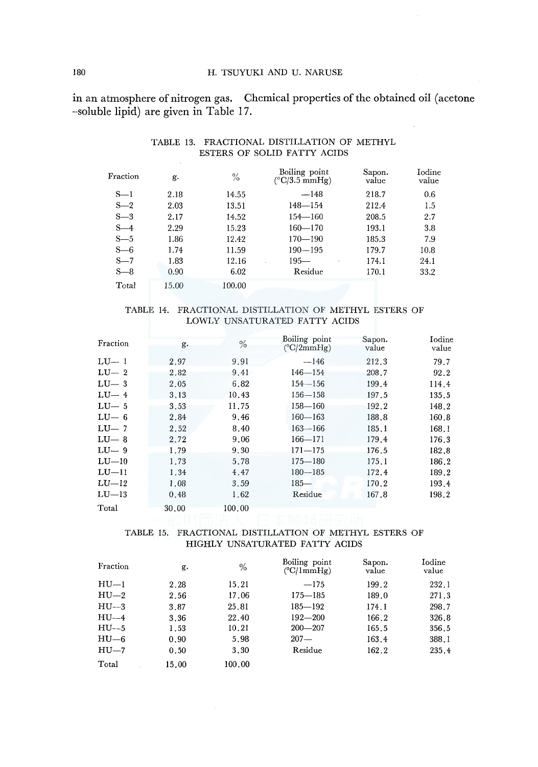#### 180 H. TSUYUKI AND U. NARUSE

**in** an atmosphere of nitrogen gas. Chemical properties of the obtained oil (acetone -soluble lipid) are given in Table 17.

| Fraction | g.    | $\%$   | Boiling point<br>$(^{\circ}C/3.5$ mmHg) | Sapon.<br>value | Iodine<br>value |
|----------|-------|--------|-----------------------------------------|-----------------|-----------------|
| $S-1$    | 2.18  | 14.55  | $-148$                                  | 218.7           | 0.6             |
| $S-2$    | 2.03  | 13.51  | $148 - 154$                             | 212.4           | 1.5             |
| $S-3$    | 2.17  | 14.52  | $154 - 160$                             | 208.5           | 2.7             |
| $S-4$    | 2.29  | 15.23  | $160 - 170$                             | 193.1           | 3.8             |
| $S - 5$  | 1.86  | 12.42  | $170 - 190$                             | 185.3           | 7.9             |
| $S=6$    | 1.74  | 11.59  | $190 - 195$                             | 179.7           | 10.8            |
| $S-7$    | 1.83  | 12.16  | $195 -$                                 | 174.1           | 24.1            |
| $S-8$    | 0.90  | 6.02   | Residue                                 | 170.1           | 33.2            |
| Total    | 15.00 | 100.00 |                                         |                 |                 |

# TABLE 13. FRACTIONAL DISTILLATION OF METHYL ESTERS OF SOLID FATTY ACIDS

#### TABLE 14. FRACTIONAL DISTILLATION OF METHYL ESTERS OF LOWLY UNSATURATED FATTY ACIDS

| Fraction | g.    | $\frac{0}{0}$ | Boiling point<br>$(^{\circ}C/2mmHg)$ | Sapon.<br>value | Iodine<br>value |
|----------|-------|---------------|--------------------------------------|-----------------|-----------------|
| $LU-1$   | 2.97  | 9.91          | $-146$                               | 212.3           | 79.7            |
| $LU-2$   | 2.82  | 9.41          | $146 - 154$                          | 208.7           | 92.2            |
| $LU-3$   | 2.05  | 6.82          | $154 - 156$                          | 199.4           | 114.4           |
| $LU-4$   | 3.13  | 10.43         | $156 - 158$                          | 197.5           | 135.5           |
| $LU-5$   | 3.53  | 11.75         | $158 - 160$                          | 192.2           | 148.2           |
| $LU-6$   | 2.84  | 9.46          | $160 - 163$                          | 188.8           | 160.8           |
| $LU-7$   | 2.52  | 8.40          | $163 - 166$                          | 185.1           | 168.1           |
| $LU-8$   | 2.72  | 9.06          | $166 - 171$                          | 179.4           | 176.3           |
| $LU-9$   | 1.79  | 9.30          | $171 - 175$                          | 176.5           | 182.8           |
| $LU-10$  | 1.73  | 5.78          | $175 - 180$                          | 175.1           | 186.2           |
| $LU-11$  | 1.34  | 4.47          | $180 - 185$                          | 172.4           | 189.2           |
| $LU-12$  | 1.08  | 3.59          | $185 -$                              | 170.2           | 193.4           |
| $LU-13$  | 0.48  | 1.62          | Residue                              | 167.8           | 198.2           |
| Total    | 30.00 | 100.00        |                                      |                 |                 |

### TABLE 15. FRACTIONAL DISTILLATION OF METHYL ESTERS OF HIGHLY UNSATURATED FATTY ACIDS

| Fraction  | g.    | $\%$   | Boiling point<br>$(^{\circ}C/1mm$ Hg) | Sapon.<br>value | Iodine<br>value |
|-----------|-------|--------|---------------------------------------|-----------------|-----------------|
| $HU-1$    | 2.28  | 15.21  | $-175$                                | 199.2           | 232.1           |
| $HU_{-2}$ | 2.56  | 17.06  | $175 - 185$                           | 189.0           | 271.3           |
| $HU - 3$  | 3.87  | 25.81  | $185 - 192$                           | 174.1           | 298.7           |
| $HU-4$    | 3.36  | 22.40  | $192 - 200$                           | 166.2           | 326.8           |
| $HU - 5$  | 1.53  | 10.21  | $200 - 207$                           | 165.5           | 356.5           |
| $HU_{6}$  | 0.90  | 5.98   | $207 -$                               | 163.4           | 388.1           |
| $HU-7$    | 0.50  | 3.30   | Residue                               | 162.2           | 235.4           |
| Total     | 15.00 | 100.00 |                                       |                 |                 |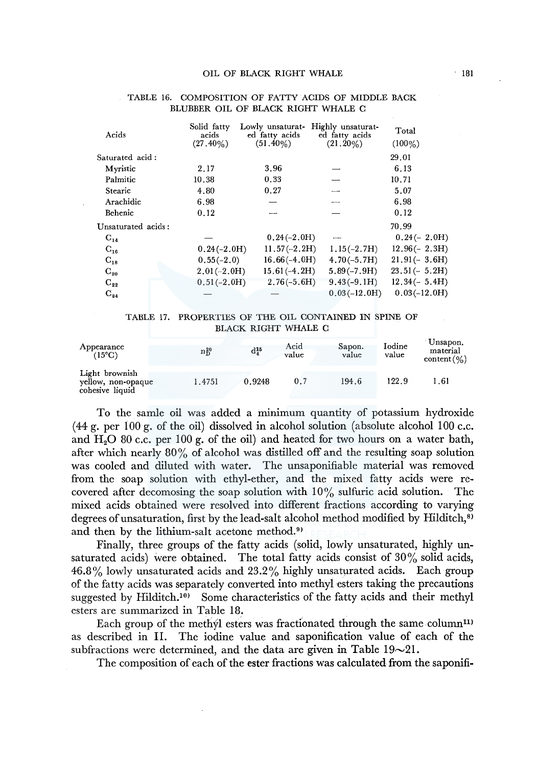| Acids              | Solid fatty<br>acids | Lowly unsaturat-<br>ed fatty acids | Highly unsaturat-<br>ed fatty acids | Total           |
|--------------------|----------------------|------------------------------------|-------------------------------------|-----------------|
|                    | $(27.40\%)$          | $(51.40\%)$                        | $(21.20\%)$                         | $(100\%)$       |
| Saturated acid:    |                      |                                    |                                     | 29.01           |
| Myristic           | 2.17                 | 3.96                               |                                     | 6.13            |
| Palmitic           | 10.38                | 0.33                               |                                     | 10.71           |
| Stearic            | 4.80                 | 0.27                               |                                     | 5.07            |
| Arachidic          | 6.98                 |                                    |                                     | 6.98            |
| Behenic            | 0.12                 |                                    |                                     | 0.12            |
| Unsaturated acids: |                      |                                    |                                     | 70.99           |
| $C_{14}$           |                      | $0.24(-2.0H)$                      |                                     | $0.24(-2.0H)$   |
| $C_{16}$           | $0.24(-2.0H)$        | $11.57(-2.2H)$                     | $1,15(-2.7H)$                       | $12.96(- 2.3H)$ |
| $C_{18}$           | $0.55(-2.0)$         | $16.66(-4.0H)$                     | $4.70(-5.7H)$                       | $21.91(-3.6H)$  |
| $C_{20}$           | $2.01(-2.0H)$        | $15.61(-4.2H)$                     | $5.89(-7.9H)$                       | $23.51(-5.2H)$  |
| $C_{22}$           | $0.51(-2.0H)$        | $2,76(-5,6H)$                      | $9.43(-9.1H)$                       | $12,34(-5,4H)$  |
| $C_{24}$           |                      |                                    | $0.03(-12.0H)$                      | $0.03(-12.0H)$  |

#### TABLE 16. COMPOSITION OF FATTY ACIDS OF MIDDLE BACK BLUBBER OIL OF BLACK RIGHT WHALE C

#### TABLE 17. PROPERTIES OF THE OIL CONTAINED IN SPINE OF BLACK RIGHT WHALE C

| Appearance<br>(15°C)                                    | $\rm n_D^{20}$ | $d_4^{15}$ | Acid<br>value | Sapon.<br>value | Iodine<br>value | Unsapon.<br>material<br>content(%) |
|---------------------------------------------------------|----------------|------------|---------------|-----------------|-----------------|------------------------------------|
| Light brownish<br>vellow, non-opaque<br>cohesive liquid | 1.4751         | 0.9248     | 0.7           | 194.6           | 122.9           | 1.61                               |

To the samle oil was added a minimum quantity of potassium hydroxide  $(44 g. \text{ per } 100 g. \text{ of the oil) dissolved in alcohol solution (absolute alcohol 100 c.c.).}$ and  $H_2O$  80 c.c. per 100 g. of the oil) and heated for two hours on a water bath, after which nearly 80% of alcohol was distilled off and the resulting soap solution was cooled and diluted with water. The unsaponifiable material was removed from the soap solution with ethyl-ether, and the mixed fatty acids were recovered after decomosing the soap solution with  $10\%$  sulfuric acid solution. The mixed acids obtained were resolved into different fractions according to varying degrees of unsaturation, first by the lead-salt alcohol method modified by Hilditch,<sup>8)</sup> and then by the lithium-salt acetone method.<sup>9</sup>

Finally, three groups of the fatty acids (solid, lowly unsaturated, highly unsaturated acids) were obtained. The total fatty acids consist of  $30\%$  solid acids, 46.8% lowly unsaturated acids and 23.2% highly unsaturated acids. Each group of the fatty acids was separately converted into methyl esters taking the precautions suggested by Hilditch.<sup>10)</sup> Some characteristics of the fatty acids and their methyl esters are summarized in Table 18.

Each group of the methyl esters was fractionated through the same column<sup>11)</sup> as described in II. The iodine value and saponification value of each of the subfractions were determined, and the data are given in Table  $19{\sim}21$ .

The composition of each of the ester fractions was calculated from the saponifi-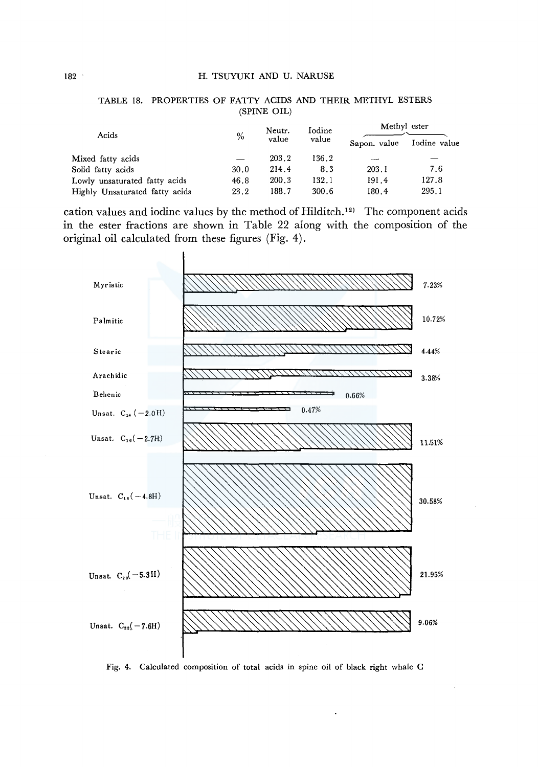| Acids                          |      | Neutr. | Iodine | Methyl ester |              |
|--------------------------------|------|--------|--------|--------------|--------------|
|                                | $\%$ | value  | value  | Sapon. value | Iodine value |
| Mixed fatty acids              |      | 203.2  | 136.2  |              |              |
| Solid fatty acids              | 30.0 | 214.4  | 8.3    | 203.1        | 7.6          |
| Lowly unsaturated fatty acids  | 46.8 | 200.3  | 132.1  | 191.4        | 127.8        |
| Highly Unsaturated fatty acids | 23.2 | 188.7  | 300.6  | 180.4        | 295.1        |
|                                |      |        |        |              |              |

#### TABLE 18. PROPERTIES OF FATTY ACIDS AND THEIR METHYL ESTERS (SPINE OIL)

cation values and iodine values by the method of Hilditch.<sup>12)</sup> The component acids in the ester fractions are shown in Table 22 along with the composition of the original oil calculated from these figures (Fig. 4).



Fig. 4. Calculated composition of total acids in spine oil of black right whale C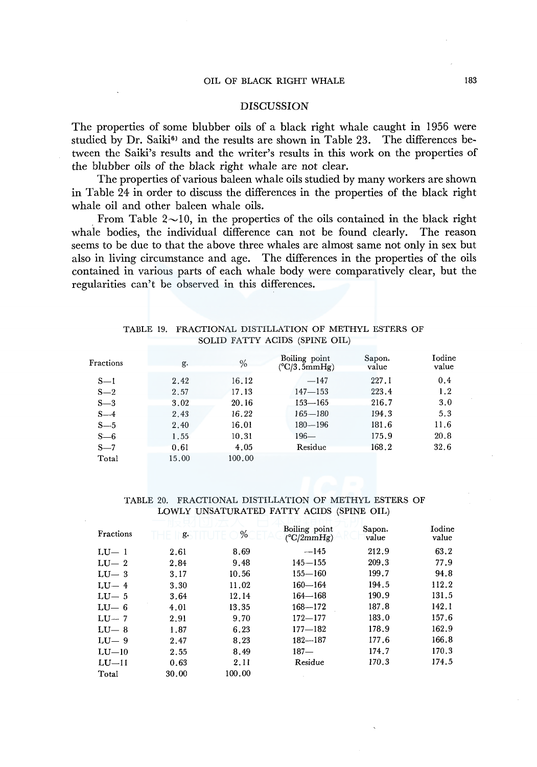# OIL OF BLACK RIGHT WHALE 183

## **DISCUSSION**

The properties of some blubber oils of a black right whale caught in 1956 were studied by Dr. Saiki $\mathbf{6}^{\circ}$  and the results are shown in Table 23. The differences between the Saiki's results and the writer's results in this work on the properties of the blubber oils of the black right whale are not clear.

The properties of various baleen whale oils studied by many workers are shown in Table 24 in order to discuss the differences in the properties of the black right whale oil and other baleen whale oils.

From Table  $2\sim10$ , in the properties of the oils contained in the black right whale bodies, the individual difference can not be found clearly. The reason seems to be due to that the above three whales are almost same not only in sex but also in living circumstance and age. The differences in the properties of the oils contained in various parts of each whale body were comparatively clear, but the regularities can't be observed in this differences.

## TABLE 19. FRACTIONAL DISTILLATION OF METHYL ESTERS OF SOLID FATTY ACIDS (SPINE OIL)

| Fractions | g.    | $\%$   | Boiling point<br>$(^{\circ}C/3.5mmHg)$ | Sapon.<br>value | Iodine<br>value |
|-----------|-------|--------|----------------------------------------|-----------------|-----------------|
| $S-1$     | 2.42  | 16.12  | $-147$                                 | 227.1           | 0.4             |
| $S-2$     | 2.57  | 17.13  | $147 - 153$                            | 223.4           | 1.2             |
| $S-3$     | 3.02  | 20.16  | 153—165                                | 216.7           | 3.0             |
| $S-4$     | 2.43  | 16.22  | $165 - 180$                            | 194.3           | 5.3             |
| $S - 5$   | 2.40  | 16.01  | $180 - 196$                            | 181.6           | 11.6            |
| $S=6$     | 1.55  | 10.31  | $196 -$                                | 175.9           | 20.8            |
| $S-7$     | 0.61  | 4.05   | Residue                                | 168.2           | 32.6            |
| Total     | 15.00 | 100.00 |                                        |                 |                 |

#### TABLE 20. FRACTIONAL DISTILLATION OF METHYL ESTERS OF LOWLY UNSATURATED FATTY ACIDS (SPINE OIL)

| Fractions | g.    | %      | Boiling point<br>$(^{\circ}C/2mmHg)$ | Sapon.<br>value | Iodine<br>value |
|-----------|-------|--------|--------------------------------------|-----------------|-----------------|
| $LU-1$    | 2.61  | 8.69   | $-145$                               | 212.9           | 63.2            |
| $LU-2$    | 2.84  | 9.48   | $145 - 155$                          | 209.3           | 77.9            |
| $LU-3$    | 3.17  | 10.56  | $155 - 160$                          | 199.7           | 94.8            |
| $LU-4$    | 3.30  | 11.02  | $160 - 164$                          | 194.5           | 112.2           |
| $LU-5$    | 3.64  | 12.14  | $164 - 168$                          | 190.9           | 131.5           |
| $LU-6$    | 4.01  | 13.35  | $168 - 172$                          | 187.8           | 142.1           |
| $LU-7$    | 2.91  | 9.70   | $172 - 177$                          | 183.0           | 157.6           |
| $LU-8$    | 1.87  | 6.23   | $177 - 182$                          | 178.9           | 162.9           |
| $LU-9$    | 2.47  | 8.23   | $182 - 187$                          | 177.6           | 166.8           |
| $LU-10$   | 2.55  | 8.49   | $187 -$                              | 174.7           | 170.3           |
| $LU-II$   | 0.63  | 2.11   | Residue                              | 170.3           | 174.5           |
| Total     | 30.00 | 100.00 |                                      |                 |                 |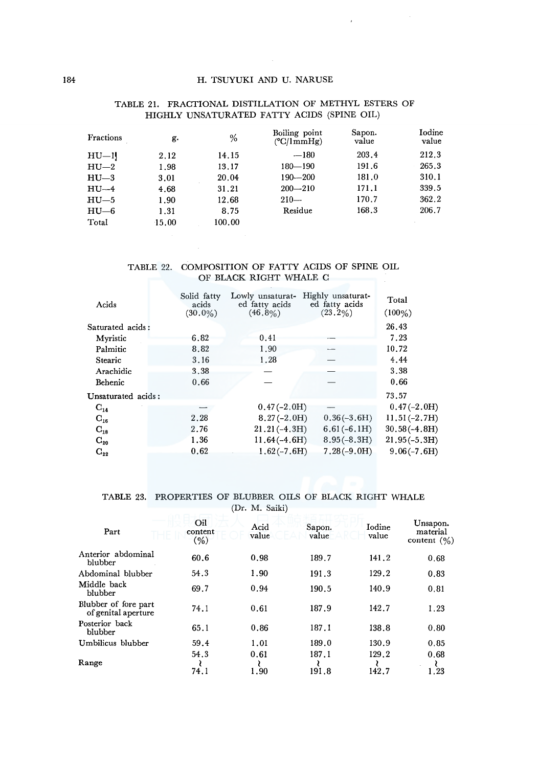$\lambda$ 

| Fractions | g.    | %      | Boiling point<br>$(^{\circ}C/ImmHg)$ | Sapon.<br>value | Iodine<br>value |
|-----------|-------|--------|--------------------------------------|-----------------|-----------------|
| $HU$ -1   | 2.12  | 14.15  | $-180$                               | 203.4           | 212.3           |
| $HU=2$    | 1.98  | 13.17  | $180 - 190$                          | 191.6           | 265.3           |
| $HU - 3$  | 3.01  | 20.04  | $190 - 200$                          | 181.0           | 310.1           |
| $HU-4$    | 4.68  | 31.21  | $200 - 210$                          | 171.1           | 339.5           |
| $HU - 5$  | 1.90  | 12.68  | $210-$                               | 170.7           | 362.2           |
| $HU$ —6   | 1.31  | 8.75   | Residue                              | 168.3           | 206.7           |
| Total     | 15.00 | 100.00 |                                      |                 |                 |

### TABLE 21. FRACTIONAL DISTILLATION OF METHYL ESTERS OF HIGHLY UNSATURATED FATTY ACIDS (SPINE OIL)

### TABLE 22. COMPOSITION OF FATTY ACIDS OF SPINE OIL OF BLACK RIGHT WHALE C

| Acids              | Solid fatty<br>acids<br>$(30.0\%)$ | Lowly unsaturat-<br>ed fatty acids<br>$(46.8\%)$ | Highly unsaturat-<br>ed fatty acids<br>$(23.2\%)$ | Total<br>$(100\%)$ |
|--------------------|------------------------------------|--------------------------------------------------|---------------------------------------------------|--------------------|
| Saturated acids:   |                                    |                                                  |                                                   | 26.43              |
| Myristic           | 6.82                               | 0.41                                             |                                                   | 7.23               |
| Palmitic           | 8.82                               | 1.90                                             |                                                   | 10.72              |
| <b>Stearic</b>     | 3.16                               | 1.28                                             |                                                   | 4.44               |
| Arachidic          | 3.38                               |                                                  |                                                   | 3.38               |
| Behenic            | 0.66                               |                                                  |                                                   | 0.66               |
| Unsaturated acids: |                                    |                                                  |                                                   | 73.57              |
| $C_{14}$           |                                    | $0.47(-2.0H)$                                    |                                                   | $0.47(-2.0H)$      |
| $C_{16}$           | 2.28                               | $8.27(-2.0H)$                                    | $0.36(-3.6H)$                                     | $11.51(-2.7H)$     |
| $C_{18}$           | 2.76                               | $21.21(-4.3H)$                                   | $6,61(-6,1H)$                                     | $30.58(-4.8H)$     |
| $\rm{C_{20}}$      | 1.36                               | $11.64(-4.6H)$                                   | $8.95(-8.3H)$                                     | $21.95(-5.3H)$     |
| $C_{22}$           | 0.62                               | $1.62(-7.6H)$                                    | $7.28(-9.0H)$                                     | $9.06(-7.6H)$      |
|                    |                                    |                                                  |                                                   |                    |

TABLE 23. PROPERTIES OF BLUBBER OILS OF BLACK RIGHT WHALE

(Dr. M. Saiki)

| Part                                        | Oil<br>content<br>$(\% )$ | Acid<br>value | Sapon.<br>value | Iodine<br>value | Unsapon.<br>material<br>content $(\% )$ |
|---------------------------------------------|---------------------------|---------------|-----------------|-----------------|-----------------------------------------|
| Anterior abdominal<br>blubber               | 60.6                      | 0.98          | 189.7           | 141.2           | 0.68                                    |
| Abdominal blubber                           | 54.3                      | 1.90          | 191.3           | 129.2           | 0.83                                    |
| Middle back<br>blubber                      | 69.7                      | 0.94          | 190.5           | 140.9           | 0.81                                    |
| Blubber of fore part<br>of genital aperture | 74.1                      | 0.61          | 187.9           | 142.7           | 1.23                                    |
| Posterior back<br>blubber                   | 65.1                      | 0.86          | 187.1           | 138.8           | 0.80                                    |
| Umbilicus blubber                           | 59.4                      | 1.01          | 189.0           | 130.9           | 0.85                                    |
|                                             | 54.3                      | 0.61          | 187.1           | 129.2           | 0.68                                    |
| Range                                       | 74.1                      | 1.90          | 191.8           | 142.7           | .23                                     |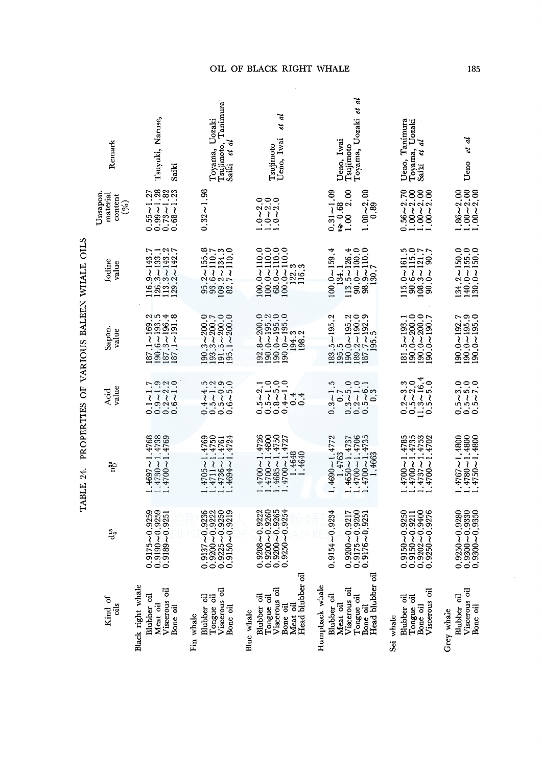|                                        | OIL OF BLACK RIGHT WHALE                                                                        |                                                                                                          |                                                                                                                                                         |                                                                                                          |                                                                                                   | 185                                                                                           |
|----------------------------------------|-------------------------------------------------------------------------------------------------|----------------------------------------------------------------------------------------------------------|---------------------------------------------------------------------------------------------------------------------------------------------------------|----------------------------------------------------------------------------------------------------------|---------------------------------------------------------------------------------------------------|-----------------------------------------------------------------------------------------------|
| Remark                                 | Tsuyuki, Naruse,<br>Saiki                                                                       | Tsujimoto, Tanimura<br>Saiki et al<br>Toyama, Uozaki                                                     | et al<br>Ueno, Iwai<br>Tsujimoto                                                                                                                        | ಕ<br>Toyama, Uozaki et<br>Ueno, Iwai<br>Tsujimoto                                                        | Ueno, Tanimura<br>Toyama, Uozaki<br>J<br>ť<br>Saiki                                               | Ueno et al                                                                                    |
| Unsapon.<br>material<br>content<br>(%) | $0.99 - 1.28$<br>$0.73 - 1.82$<br>$0.68 - 1.23$<br>$0.55 - 1.27$                                | $0.32 - 1.98$                                                                                            | $1.0 - 2.0$<br>$1.0 - 2.0$<br>$1.0 - 2.0$                                                                                                               | 1.0022.00<br>$1.00 - 2.00$<br>0.89<br>$0.31 - 1.09$                                                      | $0.56 - 2.70$<br>$1.00 - 2.00$<br>$1.00 - 2.00$<br>$1.00 - 2.00$                                  | $1.86 - 2.00$<br>$1.00 - 2.00$<br>$1.00 - 2.00$                                               |
| Iodine<br>value                        | $116.9 - 143.7$<br>$126.3 - 133.1$<br>$113.3 - 143.2$<br>$129.2 - 142.7$                        | $\begin{array}{c} 95.2 \sim 155.8 \\ 93.6 \sim 110.7 \\ 109.2 \sim 134.3 \\ 82.7 \sim 110.0 \end{array}$ | $\begin{array}{c} 100.0 - 110.0 \\ 100.0 - 110.0 \\ 68.0 - 110.0 \\ 68.0 - 110.0 \\ 100.0 - 110.0 \end{array}$<br>$\frac{122.3}{116.3}$                 | $100.0 - 159.4$<br>$90.0 - 100.0$<br>$98.9 - 110.0$<br>$13.5 - 126.4$<br>134.1<br>130.7                  | $115.0 \sim 161.5$<br>90.6 ~ 115.0<br>108.3 ~ 121.7<br>90.0 ~ 90.7                                | $\begin{array}{c} 134.2\!\sim\!150.0\\ 140.0\!\sim\!155.0\\ 130.0\!\sim\!150.0 \end{array}$   |
| Sapon.<br>value                        | $\begin{array}{l} 187.1 - 169.2 \\ 190.6 - 193.5 \\ 187.3 - 196.4 \\ 187.3 - 196.4 \end{array}$ | $190.3 - 200.0$<br>$193.3 - 200.7$<br>$191.5 \sim 200.0$<br>$195.1 \sim 200.0$                           | $.92.8 - 200.0$<br>$190,0 - 195.2$<br>$190.0 - 195.0$<br>$190.0 - 195.0$<br>194.3<br>198.2                                                              | $183.5 - 195.2$<br>$189.2 \sim 190.0$<br>$187.7 \sim 192.9$<br>$190.0 - 195.2$<br>195.5<br>195.5         | $\begin{array}{c} 190.0 - 200.0 \\ 190.0 - 200.0 \\ 190.0 - 190.7 \end{array}$<br>$181.5 - 193.1$ | $\begin{array}{c} 190.0 \sim 192.7 \\ 190.0 \sim 195.9 \\ 190.0 \sim 195.0 \end{array}$       |
| value<br>Acid                          | $\begin{array}{c} 0.1 - 1.7 \\ 0.9 - 1.9 \\ 0.2 - 2.2 \\ 0.6 - 1.0 \end{array}$                 | $\begin{array}{c} 0.4 - 4.5 \\ 0.5 - 1.2 \\ 0.5 - 0.9 \\ 0.6 - 5.0 \end{array}$                          | $\begin{array}{c} 0.5 - 2.1 \\ 0.5 - 1.0 \\ 0.8 - 5.0 \\ 0.4 - 1.0 \end{array}$<br>0.4                                                                  | $0.3 - 5.0$<br>$0.2 - 1.0$<br>$0.5 - 6.1$<br>$0.3$<br>$0.3 - 1.5$<br>0.7                                 | $\begin{array}{c} 0.2 - 3.3 \\ 0.5 - 2.0 \\ 11.3 - 16.4 \\ 0.5 - 5.0 \end{array}$                 | $0.5 - 3.0$<br>$0.5 - 5.0$<br>$0.5 - 7.0$                                                     |
| រាំប្                                  | $.4697 - 1.4768$<br>$.4730 - 1.4738$<br>$.4700 - 1.4769$                                        | $.4711 - 1.4750$<br>$.4694 - 1.4724$<br>$.4705 - 1.4769$<br>$.4736 - 1.4761$                             | $\begin{array}{l} 1.4700 \! \sim \! 1.4800 \\ 1.4685 \! \sim \! 1.4750 \\ 1.4700 \! \sim \! 1.4727 \end{array}$<br>$.4700 - 1.4726$<br>1.4648<br>1.4640 | $1.4700 - 1.4706$<br>$1.4700 - 1.4735$<br>$.4690 - 1.4772$<br>1.4763<br>$1.4650 - 1.4737$<br>1.4663      | $.4700 - 1.4735$<br>$4737 - 1.4753$<br>$4700 - 1.4702$<br>$1.4700 - 1.4785$                       | $\begin{array}{c} 1.4767 \sim 1.4800 \\ 1.4780 \sim 1.4800 \\ 1.4750 \sim 1.4800 \end{array}$ |
| $\ddot{\vec{a}}^3$                     | 9259<br>9259<br>9251<br>$0.9189 - 0.$<br>$0.9175 - 0.0$                                         | 9250<br>9236<br>9222<br>9219<br>$0.9200 - 0.925$<br>$0.9225 - 0.935$<br>$0.9150 - 0.935$<br>$0.9137 - 0$ | 9260<br>9265<br>9222<br>9254<br>$0.9208 - 0.1$<br>$0.9200 - 0.1$<br>$0.9200 - 0.1$<br>$0.9200 - 0.1$                                                    | 9200<br>9234<br>9217<br>9251<br>$0.9154 - 0.$<br>$0.9200 - 0.9$<br>$0.9175 - 0.9$<br>$0.9176 - 0.9$      | 9250<br>9400<br>9276<br>9211<br>$0.9150 - 0.$<br>$0.9150 - 0.9$<br>$0.9202 - 0.9202 - 0.925$      | 9330<br>9280<br>9350<br>$0.9250 - 0.$<br>$0.0 - 0086.0$<br>:0 ~0086.0                         |
| Kind of<br>dis                         | Black right whale<br>Viscerous oil<br>Blubber oil<br>Meat oil<br>Bone oil                       | Viscerous oil<br>Blubber oil<br>Tongue oil<br>Bone oil<br>Fin whale                                      | Head blubber oil<br>Viscerous oil<br>Tongue oil<br>Blubber oil<br>Meat oil<br>Bone oil<br>Blue whale                                                    | Head blubber oil<br>Humpback whale<br>Viscerous oil<br>Blubber oil<br>Tongue oil<br>Meat oil<br>Bone oil | Viscerous oil<br>Blubber oil<br>Tongue oil<br>Bone oil<br>Sei whale                               | Viscerous oil<br>Blubber oil<br>Bone oil<br>Grey whale                                        |

TABLE 24. PROPERTIES OF VARIOUS BALEEN WHALE OILS TABLE 24. PROPERTIES OF VARIOUS BALEEN WHALE OILS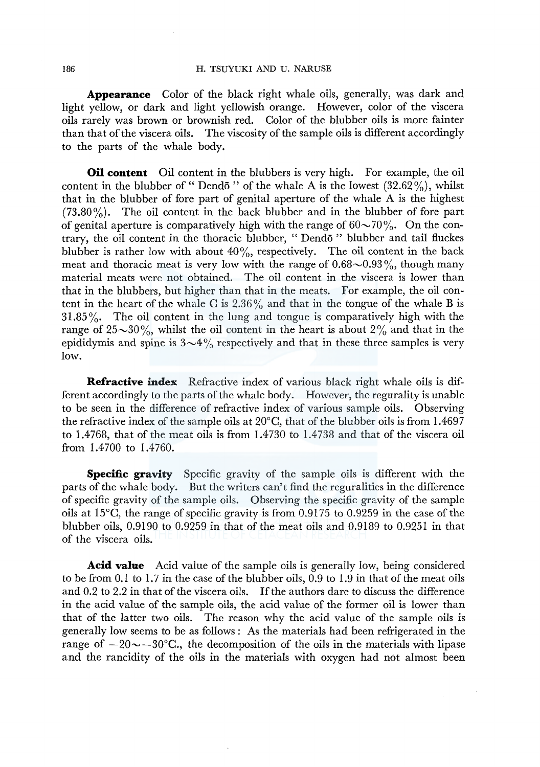#### 186 H. TSUYUKI AND U. NARUSE

**Appearance** Color of the black right whale oils, generally, was dark and light yellow, or dark and light yellowish orange. However, color of the viscera oils rarely was brown or brownish red. Color of the blubber oils is more fainter than that of the viscera oils. The viscosity of the sample oils is different accordingly to the parts of the whale body.

**Oil content** Oil content in the blubbers is very high. For example, the oil content in the blubber of "Dend<sub>0</sub>" of the whale A is the lowest  $(32.62\%)$ , whilst that in the blubber of fore part of genital aperture of the whale A is the highest (73.80%). The oil content in the back blubber and in the blubber of fore part of genital aperture is comparatively high with the range of  $60\negmedspace\sim70\%$ . On the contrary, the oil content in the thoracic blubber, " Dend6 " blubber and tail fluckes blubber is rather low with about  $40\%$ , respectively. The oil content in the back meat and thoracic meat is very low with the range of  $0.68 \sim 0.93\%$ , though many material meats were not obtained. The oil content in the viscera is lower than that in the blubbers, but higher than that in the meats. For example, the oil content in the heart of the whale C is  $2.36\%$  and that in the tongue of the whale B is  $31.85\%$ . The oil content in the lung and tongue is comparatively high with the range of  $25~30\%$ , whilst the oil content in the heart is about  $2\%$  and that in the epididymis and spine is  $3 \sim 4\%$  respectively and that in these three samples is very low.

**Refractive index** Refractive index of various black right whale oils is different accordingly to the parts of the whale body. However, the regurality is unable to be seen in the difference of refractive index of various sample oils. Observing the refractive index of the sample oils at  $20^{\circ}$ C, that of the blubber oils is from 1.4697 to 1.4768, that of the meat oils is from 1.4730 to 1.4738 and that of the viscera oil from 1.4700 to 1.4760.

**Specific gravity** Specific gravity of the sample oils is different with the parts of the whale body. But the writers can't find the reguralities in the difference of specific gravity of the sample oils. Observing the specific gravity of the sample oils at 15°C, the range of specific gravity is from 0.9175 to 0.9259 in the case of the blubber oils, 0.9190 to 0.9259 in that of the meat oils and 0.9189 to 0.9251 in that of the viscera oils.

**Acid value** Acid value of the sample oils is generally low, being considered to be from 0.1 to  $1.7$  in the case of the blubber oils, 0.9 to  $1.9$  in that of the meat oils and 0.2 to 2.2 in that of the viscera oils. If the authors dare to discuss the difference in the acid value of the sample oils, the acid value of the former oil is lower than that of the latter two oils. The reason why the acid value of the sample oils is generally low seems to be as follows: As the materials had been refrigerated in the range of  $-20 \sim -30$ °C., the decomposition of the oils in the materials with lipase and the rancidity of the oils in the materials with oxygen had not almost been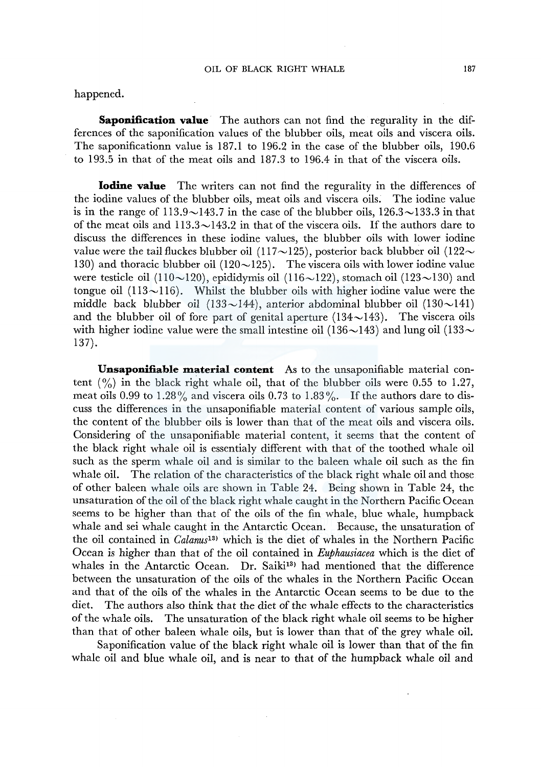### OIL OF BLACK RIGHT WHALE 187

happened.

**Saponification value** The authors can not find the regurality in the differences of the saponification values of the blubber oils, meat oils and viscera oils. The saponificationn value is 187.1 to 196.2 in the case of the blubber oils, 190.6 to 193.5 in that of the meat oils and 187 .3 to 196.4 in that of the viscera oils.

**Iodine value** The writers can not find the regurality in the differences of the iodine values of the blubber oils, meat oils and viscera oils. The iodine value is in the range of  $113.9 \sim 143.7$  in the case of the blubber oils,  $126.3 \sim 133.3$  in that of the meat oils and  $113.3 \sim 143.2$  in that of the viscera oils. If the authors dare to discuss the differences in these iodine values, the blubber oils with lower iodine value were the tail fluckes blubber oil (117 $\sim$ 125), posterior back blubber oil (122 $\sim$ 130) and thoracic blubber oil  $(120~125)$ . The viscera oils with lower iodine value were testicle oil (110 $\sim$ 120), epididymis oil (116 $\sim$ 122), stomach oil (123 $\sim$ 130) and tongue oil  $(113{\sim}116)$ . Whilst the blubber oils with higher iodine value were the middle back blubber oil (133 $\sim$ 144), anterior abdominal blubber oil (130 $\sim$ 141) and the blubber oil of fore part of genital aperture  $(134 \sim 143)$ . The viscera oils with higher iodine value were the small intestine oil (136 $\sim$ 143) and lung oil (133 $\sim$ 137).

**Unsaponifiable material content** As to the unsaponifiable material content  $\binom{0}{0}$  in the black right whale oil, that of the blubber oils were 0.55 to 1.27, meat oils 0.99 to 1.28% and viscera oils 0.73 to 1.83%. If the authors dare to discuss the differences in the unsaponifiable material content of various sample oils, the content of the blubber oils is lower than that of the meat oils and viscera oils. Considering of the unsaponifiable material content, it seems that the content of the black right whale oil is essentialy different with that of the toothed whale oil such as the sperm whale oil and is similar to the baleen whale oil such as the fin whale oil. The relation of the characteristics of the black right whale oil and those of other baleen whale oils are shown in Table 24. Being shown in Table 24, the unsaturation of the oil of the black right whale caught in the Northern Pacific Ocean seems to be higher than that of the oils of the fin whale, blue whale, humpback whale and sei whale caught in the Antarctic Ocean. Because, the unsaturation of the oil contained in *Calanus*<sup>13</sup> which is the diet of whales in the Northern Pacific Ocean is higher than that of the oil contained in *Euphausiacea* which is the diet of whales in the Antarctic Ocean. Dr. Saiki<sup>13</sup> had mentioned that the difference between the unsaturation of the oils of the whales in the Northern Pacific Ocean and that of the oils of the whales in the Antarctic Ocean seems to be due to the diet. The authors also think that the diet of the whale effects to the characteristics of the whale oils. The unsaturation of the black right whale oil seems to be higher than that of other baleen whale oils, but is lower than that of the grey whale oil.

Saponification value of the black right whale oil is lower than that of the fin whale oil and blue whale oil, and is near to that of the humpback whale oil and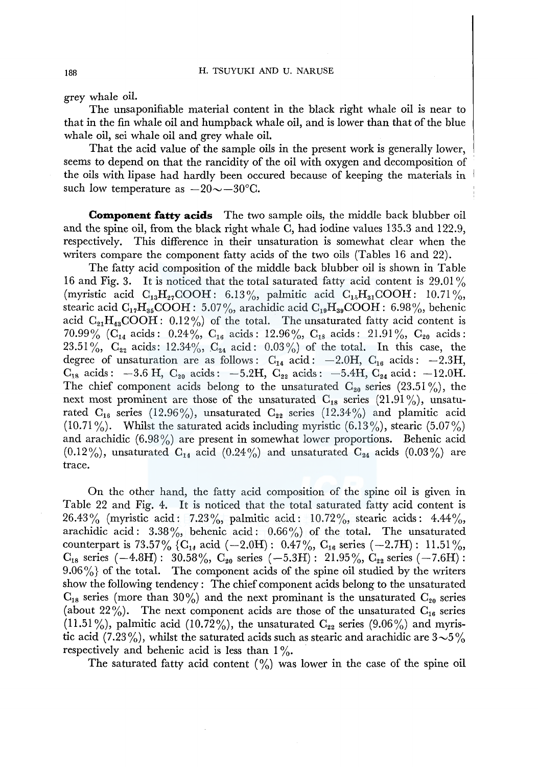grey whale oil.

The unsaponifiable material content in the black right whale oil is near to that in the fin whale oil and humpback whale oil, and is lower than that of the blue whale oil, sei whale oil and grey whale oil.

That the acid value of the sample oils in the present work is generally lower, seems to depend on that the rancidity of the oil with oxygen and decomposition of the oils with lipase had hardly been occured because of keeping the materials in such low temperature as  $-20 \sim -30$ °C.

**Component fatty acids** The two sample oils, the middle back blubber oil and the spine oil, from the black right whale C, had iodine values 135.3 and 122.9, respectively. This difference in their unsaturation is somewhat clear when the writers compare the component fatty acids of the two oils (Tables 16 and 22).

The fatty acid composition of the middle back blubber oil is shown in Table 16 and Fig. 3. It is noticed that the total saturated fatty acid content is 29.01% (myristic acid  $C_{13}H_{27}COOH: 6.13\%$ , palmitic acid  $C_{15}H_{31}COOH: 10.71\%$ , stearic acid  $C_{17}H_{35}COOH$ : 5.07%, arachidic acid  $C_{19}H_{39}COOH$ : 6.98%, behenic acid  $C_{21}H_{43}COOH: 0.12\%$  of the total. The unsaturated fatty acid content is 70.99% (C<sub>14</sub> acids: 0.24%, C<sub>16</sub> acids: 12.96%, C<sub>18</sub> acids: 21.91%, C<sub>20</sub> acids: 23.51%,  $C_{22}$  acids: 12.34%,  $C_{24}$  acid: 0.03%) of the total. In this case, the degree of unsaturation are as follows:  $C_{14}$  acid:  $-2.0H$ ,  $C_{16}$  acids:  $-2.3H$ ,  $C_{18}$  acids:  $-3.6$  H,  $C_{20}$  acids:  $-5.2$ H,  $C_{22}$  acids:  $-5.4$ H,  $C_{24}$  acid:  $-12.0$ H. The chief component acids belong to the unsaturated  $C_{20}$  series (23.51%), the next most prominent are those of the unsaturated  $C_{18}$  series (21.91%), unsaturated  $C_{16}$  series (12.96%), unsaturated  $C_{22}$  series (12.34%) and plamitic acid  $(10.71\%)$ . Whilst the saturated acids including myristic  $(6.13\%)$ , stearic  $(5.07\%)$ and arachidic  $(6.98\%)$  are present in somewhat lower proportions. Behenic acid  $(0.12\%)$ , unsaturated  $C_{14}$  acid  $(0.24\%)$  and unsaturated  $C_{24}$  acids  $(0.03\%)$  are trace.

On the other hand, the fatty acid composition of the spine oil is given in Table 22 and Fig. 4. It is noticed that the total saturated fatty acid content is 26.43% (myristic acid: 7.23%, palmitic acid: 10.72%, stearic acids: 4.44%, arachidic acid:  $3.38\%$ , behenic acid:  $0.66\%$ ) of the total. The unsaturated counterpart is 73.57% {C<sub>1</sub>, acid (-2.0H): 0.47%, C<sub>16</sub> series (-2.7H): 11.51%,  $C_{18}$  series  $(-4.8H)$ : 30.58%,  $C_{20}$  series  $(-5.3H)$ : 21.95%,  $C_{22}$  series  $(-7.6H)$ :  $9.06\%$  of the total. The component acids of the spine oil studied by the writers show the following tendency: The chief component acids belong to the unsaturated  $C_{18}$  series (more than 30%) and the next prominant is the unsaturated  $C_{20}$  series (about 22%). The next component acids are those of the unsaturated  $C_{16}$  series (11.51%), palmitic acid (10.72%), the unsaturated  $C_{22}$  series (9.06%) and myristic acid (7.23%), whilst the saturated acids such as stearic and arachidic are  $3{\sim}5\%$ respectively and behenic acid is less than  $1\%$ .

The saturated fatty acid content  $\binom{9}{0}$  was lower in the case of the spine oil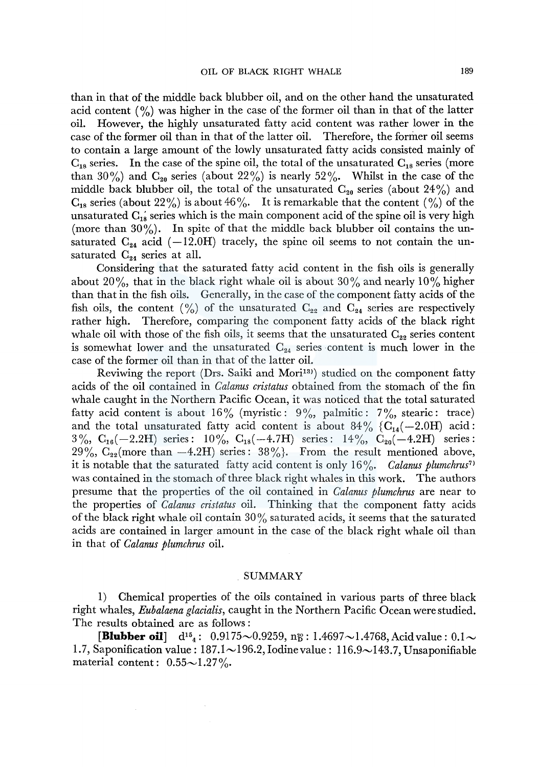than in that of the middle back blubber oil, and on the other hand the unsaturated acid content  $\binom{9}{0}$  was higher in the case of the former oil than in that of the latter oil. However, the highly unsaturated fatty acid content was rather lower in the case of the former oil than in that of the latter oil. Therefore, the former oil seems to contain a large amount of the lowly unsaturated fatty acids consisted mainly of  $C_{18}$  series. In the case of the spine oil, the total of the unsaturated  $C_{18}$  series (more than 30%) and  $C_{20}$  series (about 22%) is nearly 52%. Whilst in the case of the middle back blubber oil, the total of the unsaturated  $C_{20}$  series (about 24%) and  $C_{18}$  series (about 22%) is about 46%. It is remarkable that the content (%) of the unsaturated  $C_{18}$  series which is the main component acid of the spine oil is very high (more than  $30\%$ ). In spite of that the middle back blubber oil contains the unsaturated  $C_{24}$  acid (-12.0H) tracely, the spine oil seems to not contain the unsaturated  $C_{24}$  series at all.

Considering that the saturated fatty acid content in the fish oils is generally about 20%, that in the black right whale oil is about 30% and nearly 10% higher than that in the fish oils. Generally, in the case of the component fatty acids of the fish oils, the content (%) of the unsaturated  $C_{22}$  and  $C_{24}$  series are respectively rather high. Therefore, comparing the component fatty acids of the black right whale oil with those of the fish oils, it seems that the unsaturated  $C_{22}$  series content is somewhat lower and the unsaturated  $C_{24}$  series content is much lower in the case of the former oil than in that of the latter oil.

Reviwing the report (Drs. Saiki and Mori<sup>13)</sup> studied on the component fatty acids of the oil contained in *Calanus cristatus* obtained from the stomach of the fin whale caught in the Northern Pacific Ocean, it was noticed that the total saturated fatty acid content is about 16% (myristic:  $9\%$ , palmitic:  $7\%$ , stearic: trace) and the total unsaturated fatty acid content is about  $84\%$  {C<sub>14</sub>(-2.0H) acid: 3%,  $C_{16}(-2.2H)$  series: 10%,  $C_{18}(-4.7H)$  series: 14%,  $C_{20}(-4.2H)$  series: 29%,  $C_{22}$ (more than  $-4.2H$ ) series: 38%}. From the result mentioned above, it is notable that the saturated fatty acid content is only 16%. *Calanus plumchrus*<sup>7</sup> was contained in the stomach of three black right whales in this work. The authors presume that the properties of the oil contained in *Calanus plumchms* are near to the properties of *Calanus cristatus* oil. Thinking that the component fatty acids of the black right whale oil contain  $30\%$  saturated acids, it seems that the saturated acids are contained in larger amount in the case of the black right whale oil than in that of *Calanus plumchms* oil.

#### SUMMARY

1) Chemical properties of the oils contained in various parts of three black right whales, *Eubalaena glacialis,* caught in the Northern Pacific Ocean were studied. The results obtained are as follows :

**[Blubber oil]**  $d^{15}$ <sub>4</sub>: 0.9175~0.9259, n<sup>2</sup><sub>2</sub>: 1.4697~1.4768, Acid value: 0.1~ 1.7, Saponification value:  $187.1 \sim 196.2$ , Iodine value: 116.9 $\sim$ 143.7, Unsaponifiable material content:  $0.55{\sim}1.27\%$ .